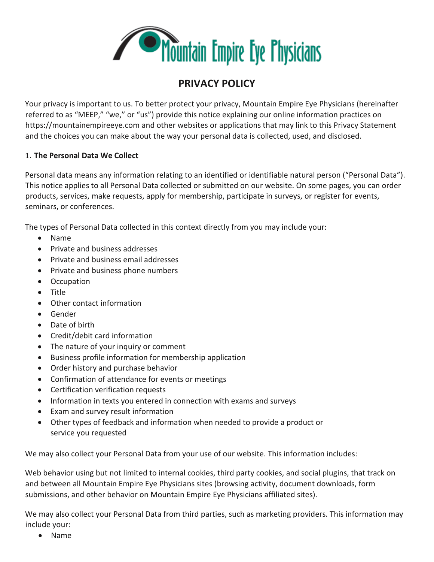

# **PRIVACY POLICY**

Your privacy is important to us. To better protect your privacy, Mountain Empire Eye Physicians (hereinafter referred to as "MEEP," "we," or "us") provide this notice explaining our online information practices on https://mountainempireeye.com and other websites or applications that may link to this Privacy Statement and the choices you can make about the way your personal data is collected, used, and disclosed.

#### **1. The Personal Data We Collect**

Personal data means any information relating to an identified or identifiable natural person ("Personal Data"). This notice applies to all Personal Data collected or submitted on our website. On some pages, you can order products, services, make requests, apply for membership, participate in surveys, or register for events, seminars, or conferences.

The types of Personal Data collected in this context directly from you may include your:

- Name
- Private and business addresses
- Private and business email addresses
- Private and business phone numbers
- Occupation
- Title
- Other contact information
- Gender
- Date of birth
- Credit/debit card information
- The nature of your inquiry or comment
- Business profile information for membership application
- Order history and purchase behavior
- Confirmation of attendance for events or meetings
- Certification verification requests
- Information in texts you entered in connection with exams and surveys
- Exam and survey result information
- Other types of feedback and information when needed to provide a product or service you requested

We may also collect your Personal Data from your use of our website. This information includes:

Web behavior using but not limited to internal cookies, third party cookies, and social plugins, that track on and between all Mountain Empire Eye Physicians sites (browsing activity, document downloads, form submissions, and other behavior on Mountain Empire Eye Physicians affiliated sites).

We may also collect your Personal Data from third parties, such as marketing providers. This information may include your:

• Name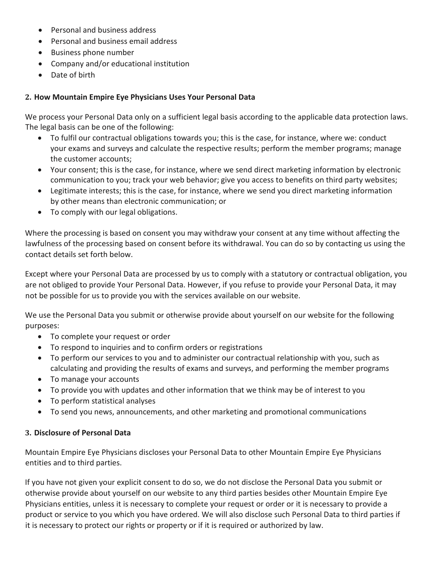- Personal and business address
- Personal and business email address
- Business phone number
- Company and/or educational institution
- Date of birth

## **2. How Mountain Empire Eye Physicians Uses Your Personal Data**

We process your Personal Data only on a sufficient legal basis according to the applicable data protection laws. The legal basis can be one of the following:

- To fulfil our contractual obligations towards you; this is the case, for instance, where we: conduct your exams and surveys and calculate the respective results; perform the member programs; manage the customer accounts;
- Your consent; this is the case, for instance, where we send direct marketing information by electronic communication to you; track your web behavior; give you access to benefits on third party websites;
- Legitimate interests; this is the case, for instance, where we send you direct marketing information by other means than electronic communication; or
- To comply with our legal obligations.

Where the processing is based on consent you may withdraw your consent at any time without affecting the lawfulness of the processing based on consent before its withdrawal. You can do so by contacting us using the contact details set forth below.

Except where your Personal Data are processed by us to comply with a statutory or contractual obligation, you are not obliged to provide Your Personal Data. However, if you refuse to provide your Personal Data, it may not be possible for us to provide you with the services available on our website.

We use the Personal Data you submit or otherwise provide about yourself on our website for the following purposes:

- To complete your request or order
- To respond to inquiries and to confirm orders or registrations
- To perform our services to you and to administer our contractual relationship with you, such as calculating and providing the results of exams and surveys, and performing the member programs
- To manage your accounts
- To provide you with updates and other information that we think may be of interest to you
- To perform statistical analyses
- To send you news, announcements, and other marketing and promotional communications

#### **3. Disclosure of Personal Data**

Mountain Empire Eye Physicians discloses your Personal Data to other Mountain Empire Eye Physicians entities and to third parties.

If you have not given your explicit consent to do so, we do not disclose the Personal Data you submit or otherwise provide about yourself on our website to any third parties besides other Mountain Empire Eye Physicians entities, unless it is necessary to complete your request or order or it is necessary to provide a product or service to you which you have ordered. We will also disclose such Personal Data to third parties if it is necessary to protect our rights or property or if it is required or authorized by law.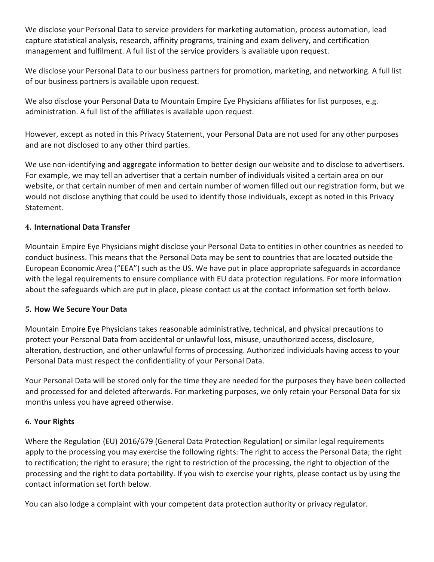We disclose your Personal Data to service providers for marketing automation, process automation, lead capture statistical analysis, research, affinity programs, training and exam delivery, and certification management and fulfilment. A full list of the service providers is available upon request.

We disclose your Personal Data to our business partners for promotion, marketing, and networking. A full list of our business partners is available upon request.

We also disclose your Personal Data to Mountain Empire Eye Physicians affiliates for list purposes, e.g. administration. A full list of the affiliates is available upon request.

However, except as noted in this Privacy Statement, your Personal Data are not used for any other purposes and are not disclosed to any other third parties.

We use non-identifying and aggregate information to better design our website and to disclose to advertisers. For example, we may tell an advertiser that a certain number of individuals visited a certain area on our website, or that certain number of men and certain number of women filled out our registration form, but we would not disclose anything that could be used to identify those individuals, except as noted in this Privacy Statement.

# **4. International Data Transfer**

Mountain Empire Eye Physicians might disclose your Personal Data to entities in other countries as needed to conduct business. This means that the Personal Data may be sent to countries that are located outside the European Economic Area ("EEA") such as the US. We have put in place appropriate safeguards in accordance with the legal requirements to ensure compliance with EU data protection regulations. For more information about the safeguards which are put in place, please contact us at the contact information set forth below.

#### **5. How We Secure Your Data**

Mountain Empire Eye Physicians takes reasonable administrative, technical, and physical precautions to protect your Personal Data from accidental or unlawful loss, misuse, unauthorized access, disclosure, alteration, destruction, and other unlawful forms of processing. Authorized individuals having access to your Personal Data must respect the confidentiality of your Personal Data.

Your Personal Data will be stored only for the time they are needed for the purposes they have been collected and processed for and deleted afterwards. For marketing purposes, we only retain your Personal Data for six months unless you have agreed otherwise.

#### **6. Your Rights**

Where the Regulation (EU) 2016/679 (General Data Protection Regulation) or similar legal requirements apply to the processing you may exercise the following rights: The right to access the Personal Data; the right to rectification; the right to erasure; the right to restriction of the processing, the right to objection of the processing and the right to data portability. If you wish to exercise your rights, please contact us by using the contact information set forth below.

You can also lodge a complaint with your competent data protection authority or privacy regulator.